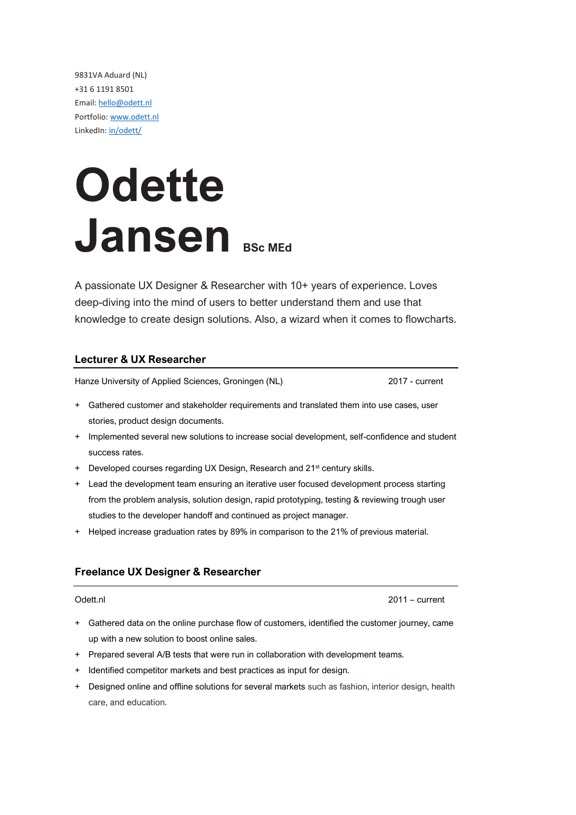9831VA Aduard (NL) +31 6 1191 8501 Email: [hello@odett.nl](mailto:hello@odett.nl) Portfolio: [www.odett.nl](http://www.odett.nl/) LinkedIn[: in/odett/](https://www.linkedin.com/in/odett/)

# **Odette Jansen BSc MEd**

A passionate UX Designer & Researcher with 10+ years of experience. Loves deep-diving into the mind of users to better understand them and use that knowledge to create design solutions. Also, a wizard when it comes to flowcharts.

### **Lecturer & UX Researcher**

Hanze University of Applied Sciences, Groningen (NL) 2017 - current

- + Gathered customer and stakeholder requirements and translated them into use cases, user stories, product design documents.
- + Implemented several new solutions to increase social development, self-confidence and student success rates.
- + Developed courses regarding UX Design, Research and 21<sup>st</sup> century skills.
- + Lead the development team ensuring an iterative user focused development process starting from the problem analysis, solution design, rapid prototyping, testing & reviewing trough user studies to the developer handoff and continued as project manager.
- + Helped increase graduation rates by 89% in comparison to the 21% of previous material.

### **Freelance UX Designer & Researcher**

Odett.nl 2011 – current

- + Gathered data on the online purchase flow of customers, identified the customer journey, came up with a new solution to boost online sales.
- + Prepared several A/B tests that were run in collaboration with development teams.
- + Identified competitor markets and best practices as input for design.
- + Designed online and offline solutions for several markets such as fashion, interior design, health care, and education.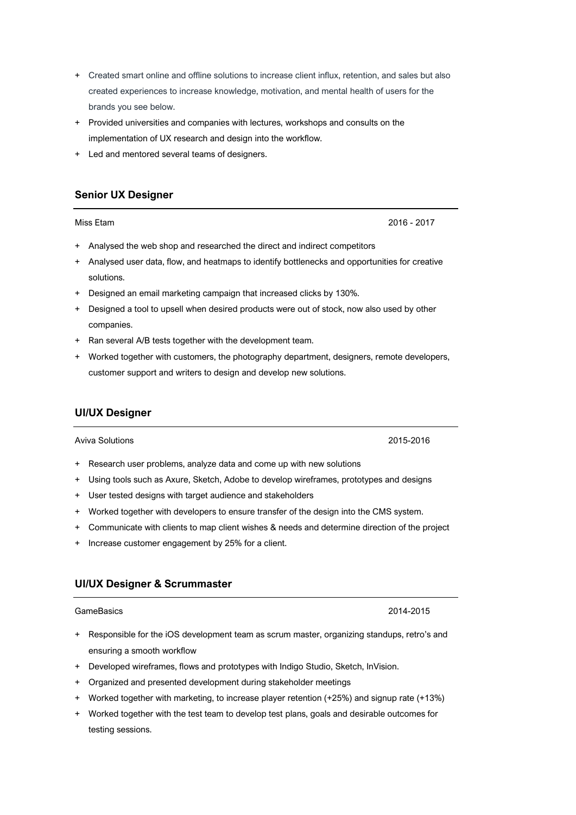- + Created smart online and offline solutions to increase client influx, retention, and sales but also created experiences to increase knowledge, motivation, and mental health of users for the brands you see below.
- + Provided universities and companies with lectures, workshops and consults on the implementation of UX research and design into the workflow.
- + Led and mentored several teams of designers.

### **Senior UX Designer**

- + Analysed the web shop and researched the direct and indirect competitors
- + Analysed user data, flow, and heatmaps to identify bottlenecks and opportunities for creative solutions.
- + Designed an email marketing campaign that increased clicks by 130%.
- + Designed a tool to upsell when desired products were out of stock, now also used by other companies.
- + Ran several A/B tests together with the development team.
- + Worked together with customers, the photography department, designers, remote developers, customer support and writers to design and develop new solutions.

#### **UI/UX Designer**

Aviva Solutions 2015-2016

- + Research user problems, analyze data and come up with new solutions
- + Using tools such as Axure, Sketch, Adobe to develop wireframes, prototypes and designs
- + User tested designs with target audience and stakeholders
- + Worked together with developers to ensure transfer of the design into the CMS system.
- + Communicate with clients to map client wishes & needs and determine direction of the project
- + Increase customer engagement by 25% for a client.

#### **UI/UX Designer & Scrummaster**

#### GameBasics 2014-2015

- + Responsible for the iOS development team as scrum master, organizing standups, retro's and ensuring a smooth workflow
- + Developed wireframes, flows and prototypes with Indigo Studio, Sketch, InVision.
- + Organized and presented development during stakeholder meetings
- + Worked together with marketing, to increase player retention (+25%) and signup rate (+13%)
- + Worked together with the test team to develop test plans, goals and desirable outcomes for testing sessions.

Miss Etam 2016 - 2017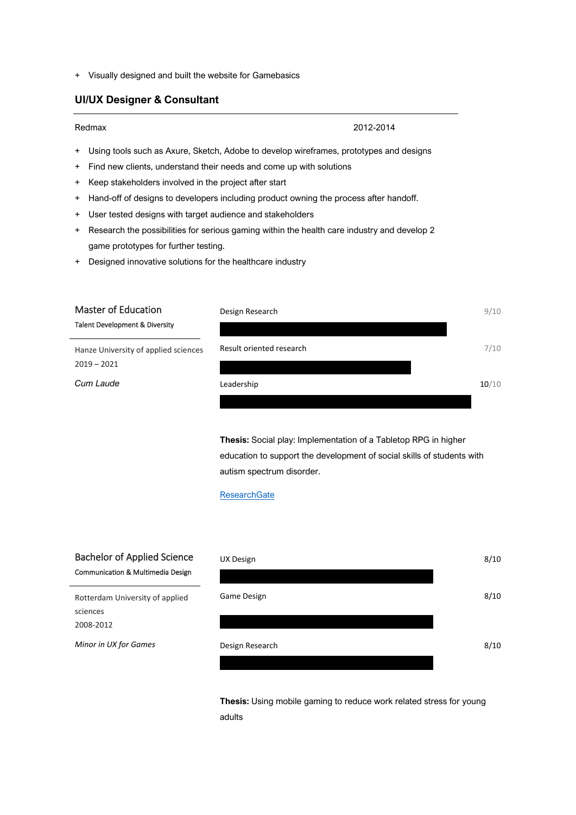+ Visually designed and built the website for Gamebasics

#### **UI/UX Designer & Consultant**

#### Redmax 2012-2014

- + Using tools such as Axure, Sketch, Adobe to develop wireframes, prototypes and designs
- + Find new clients, understand their needs and come up with solutions
- + Keep stakeholders involved in the project after start
- + Hand-off of designs to developers including product owning the process after handoff.
- + User tested designs with target audience and stakeholders
- + Research the possibilities for serious gaming within the health care industry and develop 2 game prototypes for further testing.
- + Designed innovative solutions for the healthcare industry

| <b>Master of Education</b>           | Design Research          | 9/10  |
|--------------------------------------|--------------------------|-------|
| Talent Development & Diversity       |                          |       |
| Hanze University of applied sciences | Result oriented research | 7/10  |
| $2019 - 2021$                        |                          |       |
| Cum Laude                            | Leadership               | 10/10 |
|                                      |                          |       |

**Thesis:** Social play: Implementation of a Tabletop RPG in higher education to support the development of social skills of students with autism spectrum disorder.

#### **[ResearchGate](https://www.researchgate.net/publication/352551438_Social_play_Implementation_of_a_Tabletop_RPG_in_higher_education_to_support_the_development_of_social_skills_of_students_with_Autism_Spectrum_Disorder)**

## Bachelor of Applied Science Communication & Multimedia Design

| <b>Bachelor of Applied Science</b><br><b>Communication &amp; Multimedia Design</b> | UX Design       | 8/10 |
|------------------------------------------------------------------------------------|-----------------|------|
| Rotterdam University of applied                                                    | Game Design     | 8/10 |
| sciences                                                                           |                 |      |
| 2008-2012                                                                          |                 |      |
| Minor in UX for Games                                                              | Design Research | 8/10 |
|                                                                                    |                 |      |

**Thesis:** Using mobile gaming to reduce work related stress for young adults